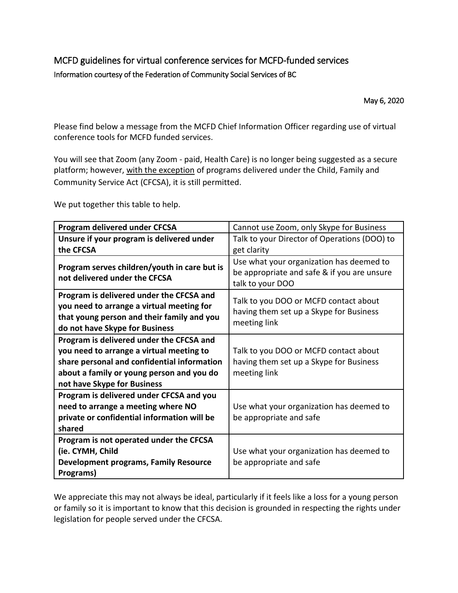## MCFD guidelines for virtual conference services for MCFD-funded services Information courtesy of the Federation of Community Social Services of BC

May 6, 2020

Please find below a message from the MCFD Chief Information Officer regarding use of virtual conference tools for MCFD funded services.

You will see that Zoom (any Zoom - paid, Health Care) is no longer being suggested as a secure platform; however, with the exception of programs delivered under the Child, Family and Community Service Act (CFCSA), it is still permitted.

We put together this table to help.

| Program delivered under CFCSA                                                                                                                                         | Cannot use Zoom, only Skype for Business                                                         |
|-----------------------------------------------------------------------------------------------------------------------------------------------------------------------|--------------------------------------------------------------------------------------------------|
| Unsure if your program is delivered under                                                                                                                             | Talk to your Director of Operations (DOO) to                                                     |
| the CFCSA                                                                                                                                                             | get clarity                                                                                      |
| Program serves children/youth in care but is                                                                                                                          | Use what your organization has deemed to                                                         |
| not delivered under the CFCSA                                                                                                                                         | be appropriate and safe & if you are unsure<br>talk to your DOO                                  |
| Program is delivered under the CFCSA and<br>you need to arrange a virtual meeting for<br>that young person and their family and you<br>do not have Skype for Business | Talk to you DOO or MCFD contact about<br>having them set up a Skype for Business<br>meeting link |
| Program is delivered under the CFCSA and                                                                                                                              |                                                                                                  |
| you need to arrange a virtual meeting to                                                                                                                              | Talk to you DOO or MCFD contact about                                                            |
| share personal and confidential information                                                                                                                           | having them set up a Skype for Business                                                          |
| about a family or young person and you do                                                                                                                             | meeting link                                                                                     |
| not have Skype for Business                                                                                                                                           |                                                                                                  |
| Program is delivered under CFCSA and you                                                                                                                              |                                                                                                  |
| need to arrange a meeting where NO                                                                                                                                    | Use what your organization has deemed to                                                         |
| private or confidential information will be                                                                                                                           | be appropriate and safe                                                                          |
| shared                                                                                                                                                                |                                                                                                  |
| Program is not operated under the CFCSA                                                                                                                               |                                                                                                  |
| (ie. CYMH, Child                                                                                                                                                      | Use what your organization has deemed to                                                         |
| <b>Development programs, Family Resource</b>                                                                                                                          | be appropriate and safe                                                                          |
| Programs)                                                                                                                                                             |                                                                                                  |

We appreciate this may not always be ideal, particularly if it feels like a loss for a young person or family so it is important to know that this decision is grounded in respecting the rights under legislation for people served under the CFCSA.